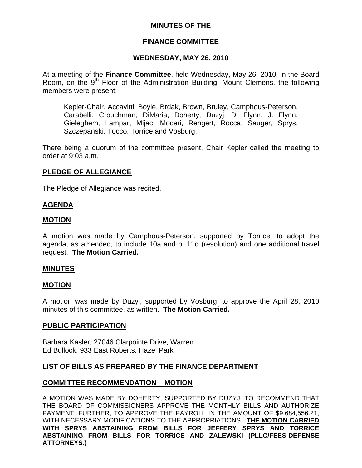## **MINUTES OF THE**

## **FINANCE COMMITTEE**

## **WEDNESDAY, MAY 26, 2010**

At a meeting of the **Finance Committee**, held Wednesday, May 26, 2010, in the Board Room, on the 9<sup>th</sup> Floor of the Administration Building, Mount Clemens, the following members were present:

Kepler-Chair, Accavitti, Boyle, Brdak, Brown, Bruley, Camphous-Peterson, Carabelli, Crouchman, DiMaria, Doherty, Duzyj, D. Flynn, J. Flynn, Gieleghem, Lampar, Mijac, Moceri, Rengert, Rocca, Sauger, Sprys, Szczepanski, Tocco, Torrice and Vosburg.

There being a quorum of the committee present, Chair Kepler called the meeting to order at 9:03 a.m.

# **PLEDGE OF ALLEGIANCE**

The Pledge of Allegiance was recited.

## **AGENDA**

## **MOTION**

A motion was made by Camphous-Peterson, supported by Torrice, to adopt the agenda, as amended, to include 10a and b, 11d (resolution) and one additional travel request. **The Motion Carried.** 

## **MINUTES**

## **MOTION**

A motion was made by Duzyj, supported by Vosburg, to approve the April 28, 2010 minutes of this committee, as written. **The Motion Carried.** 

## **PUBLIC PARTICIPATION**

Barbara Kasler, 27046 Clarpointe Drive, Warren Ed Bullock, 933 East Roberts, Hazel Park

# **LIST OF BILLS AS PREPARED BY THE FINANCE DEPARTMENT**

## **COMMITTEE RECOMMENDATION – MOTION**

A MOTION WAS MADE BY DOHERTY, SUPPORTED BY DUZYJ, TO RECOMMEND THAT THE BOARD OF COMMISSIONERS APPROVE THE MONTHLY BILLS AND AUTHORIZE PAYMENT; FURTHER, TO APPROVE THE PAYROLL IN THE AMOUNT OF \$9,684,556.21, WITH NECESSARY MODIFICATIONS TO THE APPROPRIATIONS. **THE MOTION CARRIED WITH SPRYS ABSTAINING FROM BILLS FOR JEFFERY SPRYS AND TORRICE ABSTAINING FROM BILLS FOR TORRICE AND ZALEWSKI (PLLC/FEES-DEFENSE ATTORNEYS.)**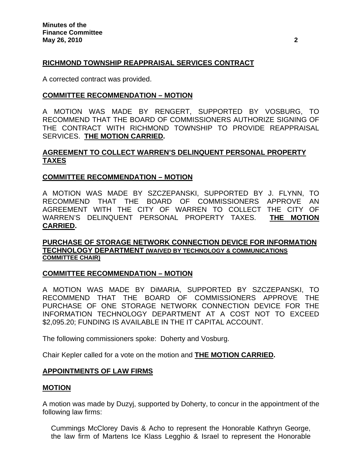# **RICHMOND TOWNSHIP REAPPRAISAL SERVICES CONTRACT**

A corrected contract was provided.

## **COMMITTEE RECOMMENDATION – MOTION**

A MOTION WAS MADE BY RENGERT, SUPPORTED BY VOSBURG, TO RECOMMEND THAT THE BOARD OF COMMISSIONERS AUTHORIZE SIGNING OF THE CONTRACT WITH RICHMOND TOWNSHIP TO PROVIDE REAPPRAISAL SERVICES. **THE MOTION CARRIED.** 

## **AGREEMENT TO COLLECT WARREN'S DELINQUENT PERSONAL PROPERTY TAXES**

## **COMMITTEE RECOMMENDATION – MOTION**

A MOTION WAS MADE BY SZCZEPANSKI, SUPPORTED BY J. FLYNN, TO RECOMMEND THAT THE BOARD OF COMMISSIONERS APPROVE AN AGREEMENT WITH THE CITY OF WARREN TO COLLECT THE CITY OF WARREN'S DELINQUENT PERSONAL PROPERTY TAXES. **THE MOTION CARRIED.** 

## **PURCHASE OF STORAGE NETWORK CONNECTION DEVICE FOR INFORMATION TECHNOLOGY DEPARTMENT (WAIVED BY TECHNOLOGY & COMMUNICATIONS COMMITTEE CHAIR)**

## **COMMITTEE RECOMMENDATION – MOTION**

A MOTION WAS MADE BY DiMARIA, SUPPORTED BY SZCZEPANSKI, TO RECOMMEND THAT THE BOARD OF COMMISSIONERS APPROVE THE PURCHASE OF ONE STORAGE NETWORK CONNECTION DEVICE FOR THE INFORMATION TECHNOLOGY DEPARTMENT AT A COST NOT TO EXCEED \$2,095.20; FUNDING IS AVAILABLE IN THE IT CAPITAL ACCOUNT.

The following commissioners spoke: Doherty and Vosburg.

Chair Kepler called for a vote on the motion and **THE MOTION CARRIED.** 

## **APPOINTMENTS OF LAW FIRMS**

## **MOTION**

A motion was made by Duzyj, supported by Doherty, to concur in the appointment of the following law firms:

Cummings McClorey Davis & Acho to represent the Honorable Kathryn George, the law firm of Martens Ice Klass Legghio & Israel to represent the Honorable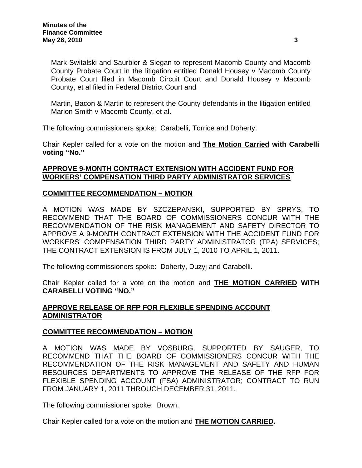Mark Switalski and Saurbier & Siegan to represent Macomb County and Macomb County Probate Court in the litigation entitled Donald Housey v Macomb County Probate Court filed in Macomb Circuit Court and Donald Housey v Macomb County, et al filed in Federal District Court and

Martin, Bacon & Martin to represent the County defendants in the litigation entitled Marion Smith v Macomb County, et al.

The following commissioners spoke: Carabelli, Torrice and Doherty.

Chair Kepler called for a vote on the motion and **The Motion Carried with Carabelli voting "No."** 

# **APPROVE 9-MONTH CONTRACT EXTENSION WITH ACCIDENT FUND FOR WORKERS' COMPENSATION THIRD PARTY ADMINISTRATOR SERVICES**

## **COMMITTEE RECOMMENDATION – MOTION**

A MOTION WAS MADE BY SZCZEPANSKI, SUPPORTED BY SPRYS, TO RECOMMEND THAT THE BOARD OF COMMISSIONERS CONCUR WITH THE RECOMMENDATION OF THE RISK MANAGEMENT AND SAFETY DIRECTOR TO APPROVE A 9-MONTH CONTRACT EXTENSION WITH THE ACCIDENT FUND FOR WORKERS' COMPENSATION THIRD PARTY ADMINISTRATOR (TPA) SERVICES; THE CONTRACT EXTENSION IS FROM JULY 1, 2010 TO APRIL 1, 2011.

The following commissioners spoke: Doherty, Duzyj and Carabelli.

Chair Kepler called for a vote on the motion and **THE MOTION CARRIED WITH CARABELLI VOTING "NO."** 

# **APPROVE RELEASE OF RFP FOR FLEXIBLE SPENDING ACCOUNT ADMINISTRATOR**

## **COMMITTEE RECOMMENDATION – MOTION**

A MOTION WAS MADE BY VOSBURG, SUPPORTED BY SAUGER, TO RECOMMEND THAT THE BOARD OF COMMISSIONERS CONCUR WITH THE RECOMMENDATION OF THE RISK MANAGEMENT AND SAFETY AND HUMAN RESOURCES DEPARTMENTS TO APPROVE THE RELEASE OF THE RFP FOR FLEXIBLE SPENDING ACCOUNT (FSA) ADMINISTRATOR; CONTRACT TO RUN FROM JANUARY 1, 2011 THROUGH DECEMBER 31, 2011.

The following commissioner spoke: Brown.

Chair Kepler called for a vote on the motion and **THE MOTION CARRIED.**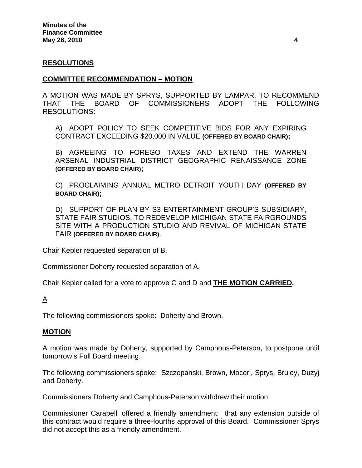## **RESOLUTIONS**

## **COMMITTEE RECOMMENDATION – MOTION**

A MOTION WAS MADE BY SPRYS, SUPPORTED BY LAMPAR, TO RECOMMEND THAT THE BOARD OF COMMISSIONERS ADOPT THE FOLLOWING RESOLUTIONS:

A) ADOPT POLICY TO SEEK COMPETITIVE BIDS FOR ANY EXPIRING CONTRACT EXCEEDING \$20,000 IN VALUE **(OFFERED BY BOARD CHAIR);** 

B) AGREEING TO FOREGO TAXES AND EXTEND THE WARREN ARSENAL INDUSTRIAL DISTRICT GEOGRAPHIC RENAISSANCE ZONE **(OFFERED BY BOARD CHAIR);** 

C) PROCLAIMING ANNUAL METRO DETROIT YOUTH DAY **(OFFERED BY BOARD CHAIR);** 

D) SUPPORT OF PLAN BY S3 ENTERTAINMENT GROUP'S SUBSIDIARY, STATE FAIR STUDIOS, TO REDEVELOP MICHIGAN STATE FAIRGROUNDS SITE WITH A PRODUCTION STUDIO AND REVIVAL OF MICHIGAN STATE FAIR **(OFFERED BY BOARD CHAIR)**.

Chair Kepler requested separation of B.

Commissioner Doherty requested separation of A.

Chair Kepler called for a vote to approve C and D and **THE MOTION CARRIED.** 

# $\Delta$

The following commissioners spoke: Doherty and Brown.

## **MOTION**

A motion was made by Doherty, supported by Camphous-Peterson, to postpone until tomorrow's Full Board meeting.

The following commissioners spoke: Szczepanski, Brown, Moceri, Sprys, Bruley, Duzyj and Doherty.

Commissioners Doherty and Camphous-Peterson withdrew their motion.

Commissioner Carabelli offered a friendly amendment: that any extension outside of this contract would require a three-fourths approval of this Board. Commissioner Sprys did not accept this as a friendly amendment.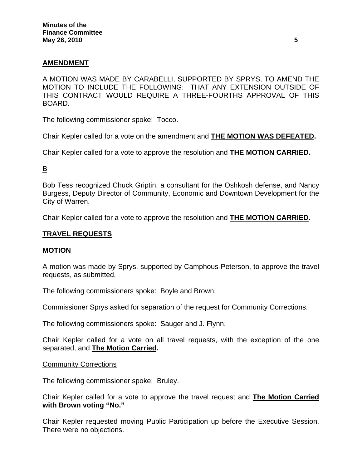# **AMENDMENT**

A MOTION WAS MADE BY CARABELLI, SUPPORTED BY SPRYS, TO AMEND THE MOTION TO INCLUDE THE FOLLOWING: THAT ANY EXTENSION OUTSIDE OF THIS CONTRACT WOULD REQUIRE A THREE-FOURTHS APPROVAL OF THIS BOARD.

The following commissioner spoke: Tocco.

Chair Kepler called for a vote on the amendment and **THE MOTION WAS DEFEATED.** 

Chair Kepler called for a vote to approve the resolution and **THE MOTION CARRIED.** 

# B

Bob Tess recognized Chuck Griptin, a consultant for the Oshkosh defense, and Nancy Burgess, Deputy Director of Community, Economic and Downtown Development for the City of Warren.

Chair Kepler called for a vote to approve the resolution and **THE MOTION CARRIED.**

## **TRAVEL REQUESTS**

# **MOTION**

A motion was made by Sprys, supported by Camphous-Peterson, to approve the travel requests, as submitted.

The following commissioners spoke: Boyle and Brown.

Commissioner Sprys asked for separation of the request for Community Corrections.

The following commissioners spoke: Sauger and J. Flynn.

Chair Kepler called for a vote on all travel requests, with the exception of the one separated, and **The Motion Carried.** 

## Community Corrections

The following commissioner spoke: Bruley.

Chair Kepler called for a vote to approve the travel request and **The Motion Carried with Brown voting "No."** 

Chair Kepler requested moving Public Participation up before the Executive Session. There were no objections.